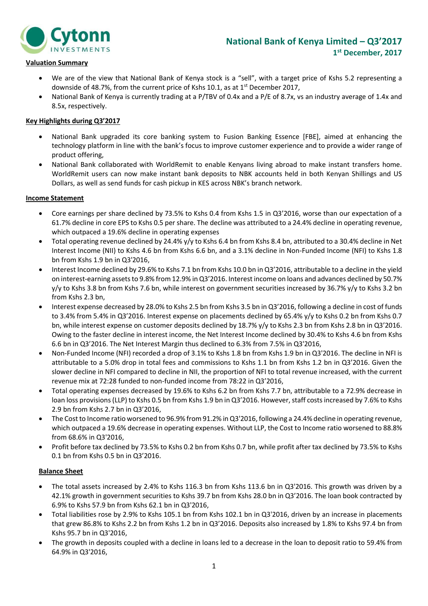

# **Valuation Summary**

- We are of the view that National Bank of Kenya stock is a "sell", with a target price of Kshs 5.2 representing a downside of 48.7%, from the current price of Kshs 10.1, as at 1<sup>st</sup> December 2017,
- National Bank of Kenya is currently trading at a P/TBV of 0.4x and a P/E of 8.7x, vs an industry average of 1.4x and 8.5x, respectively.

# **Key Highlights during Q3'2017**

- National Bank upgraded its core banking system to Fusion Banking Essence [FBE], aimed at enhancing the technology platform in line with the bank's focus to improve customer experience and to provide a wider range of product offering,
- National Bank collaborated with WorldRemit to enable Kenyans living abroad to make instant transfers home. WorldRemit users can now make instant bank deposits to NBK accounts held in both Kenyan Shillings and US Dollars, as well as send funds for cash pickup in KES across NBK's branch network.

# **Income Statement**

- Core earnings per share declined by 73.5% to Kshs 0.4 from Kshs 1.5 in Q3'2016, worse than our expectation of a 61.7% decline in core EPS to Kshs 0.5 per share. The decline was attributed to a 24.4% decline in operating revenue, which outpaced a 19.6% decline in operating expenses
- Total operating revenue declined by 24.4% y/y to Kshs 6.4 bn from Kshs 8.4 bn, attributed to a 30.4% decline in Net Interest Income (NII) to Kshs 4.6 bn from Kshs 6.6 bn, and a 3.1% decline in Non-Funded Income (NFI) to Kshs 1.8 bn from Kshs 1.9 bn in Q3'2016,
- Interest Income declined by 29.6% to Kshs 7.1 bn from Kshs 10.0 bn in Q3'2016, attributable to a decline in the yield on interest-earning assets to 9.8% from 12.9% in Q3'2016. Interestincome on loans and advances declined by 50.7% y/y to Kshs 3.8 bn from Kshs 7.6 bn, while interest on government securities increased by 36.7% y/y to Kshs 3.2 bn from Kshs 2.3 bn,
- Interest expense decreased by 28.0% to Kshs 2.5 bn from Kshs 3.5 bn in Q3'2016, following a decline in cost of funds to 3.4% from 5.4% in Q3'2016. Interest expense on placements declined by 65.4% y/y to Kshs 0.2 bn from Kshs 0.7 bn, while interest expense on customer deposits declined by 18.7% y/y to Kshs 2.3 bn from Kshs 2.8 bn in Q3'2016. Owing to the faster decline in interest income, the Net Interest Income declined by 30.4% to Kshs 4.6 bn from Kshs 6.6 bn in Q3'2016. The Net Interest Margin thus declined to 6.3% from 7.5% in Q3'2016,
- Non-Funded Income (NFI) recorded a drop of 3.1% to Kshs 1.8 bn from Kshs 1.9 bn in Q3'2016. The decline in NFI is attributable to a 5.0% drop in total fees and commissions to Kshs 1.1 bn from Kshs 1.2 bn in Q3'2016. Given the slower decline in NFI compared to decline in NII, the proportion of NFI to total revenue increased, with the current revenue mix at 72:28 funded to non-funded income from 78:22 in Q3'2016,
- Total operating expenses decreased by 19.6% to Kshs 6.2 bn from Kshs 7.7 bn, attributable to a 72.9% decrease in loan loss provisions (LLP) to Kshs 0.5 bn from Kshs 1.9 bn in Q3'2016. However, staff costs increased by 7.6% to Kshs 2.9 bn from Kshs 2.7 bn in Q3'2016,
- The Cost to Income ratio worsened to 96.9% from 91.2% in Q3'2016, following a 24.4% decline in operating revenue, which outpaced a 19.6% decrease in operating expenses. Without LLP, the Cost to Income ratio worsened to 88.8% from 68.6% in Q3'2016,
- Profit before tax declined by 73.5% to Kshs 0.2 bn from Kshs 0.7 bn, while profit after tax declined by 73.5% to Kshs 0.1 bn from Kshs 0.5 bn in Q3'2016.

# **Balance Sheet**

- The total assets increased by 2.4% to Kshs 116.3 bn from Kshs 113.6 bn in Q3'2016. This growth was driven by a 42.1% growth in government securities to Kshs 39.7 bn from Kshs 28.0 bn in Q3'2016. The loan book contracted by 6.9% to Kshs 57.9 bn from Kshs 62.1 bn in Q3'2016,
- Total liabilities rose by 2.9% to Kshs 105.1 bn from Kshs 102.1 bn in Q3'2016, driven by an increase in placements that grew 86.8% to Kshs 2.2 bn from Kshs 1.2 bn in Q3'2016. Deposits also increased by 1.8% to Kshs 97.4 bn from Kshs 95.7 bn in Q3'2016,
- The growth in deposits coupled with a decline in loans led to a decrease in the loan to deposit ratio to 59.4% from 64.9% in Q3'2016,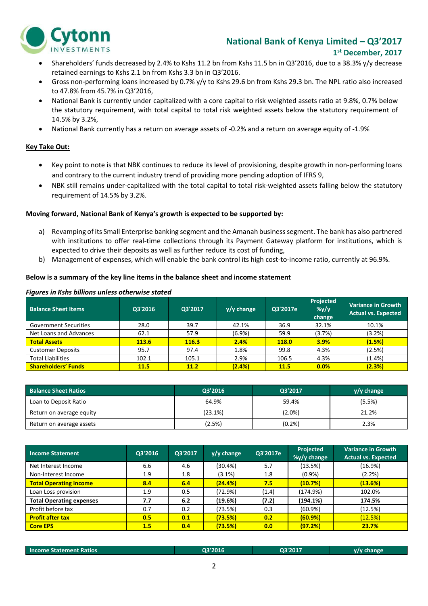

# **National Bank of Kenya Limited – Q3'2017 1 st December, 2017**

- Shareholders' funds decreased by 2.4% to Kshs 11.2 bn from Kshs 11.5 bn in Q3'2016, due to a 38.3% y/y decrease retained earnings to Kshs 2.1 bn from Kshs 3.3 bn in Q3'2016.
- Gross non-performing loans increased by 0.7% y/y to Kshs 29.6 bn from Kshs 29.3 bn. The NPL ratio also increased to 47.8% from 45.7% in Q3'2016,
- National Bank is currently under capitalized with a core capital to risk weighted assets ratio at 9.8%, 0.7% below the statutory requirement, with total capital to total risk weighted assets below the statutory requirement of 14.5% by 3.2%,
- National Bank currently has a return on average assets of -0.2% and a return on average equity of -1.9%

# **Key Take Out:**

- Key point to note is that NBK continues to reduce its level of provisioning, despite growth in non-performing loans and contrary to the current industry trend of providing more pending adoption of IFRS 9,
- NBK still remains under-capitalized with the total capital to total risk-weighted assets falling below the statutory requirement of 14.5% by 3.2%.

# **Moving forward, National Bank of Kenya's growth is expected to be supported by:**

- a) Revamping of its Small Enterprise banking segment and the Amanah business segment. The bank has also partnered with institutions to offer real-time collections through its Payment Gateway platform for institutions, which is expected to drive their deposits as well as further reduce its cost of funding,
- b) Management of expenses, which will enable the bank control its high cost-to-income ratio, currently at 96.9%.

# **Below is a summary of the key line items in the balance sheet and income statement**

#### *Figures in Kshs billions unless otherwise stated*

| <b>Balance Sheet Items</b>   | Q3'2016     | Q3'2017     | $y/y$ change | Q3'2017e     | Projected<br>$\frac{9}{4}$<br>change | <b>Variance in Growth</b><br><b>Actual vs. Expected</b> |
|------------------------------|-------------|-------------|--------------|--------------|--------------------------------------|---------------------------------------------------------|
| <b>Government Securities</b> | 28.0        | 39.7        | 42.1%        | 36.9         | 32.1%                                | 10.1%                                                   |
| Net Loans and Advances       | 62.1        | 57.9        | $(6.9\%)$    | 59.9         | $(3.7\%)$                            | (3.2%)                                                  |
| <b>Total Assets</b>          | 113.6       | 116.3       | 2.4%         | <b>118.0</b> | 3.9%                                 | (1.5%)                                                  |
| <b>Customer Deposits</b>     | 95.7        | 97.4        | 1.8%         | 99.8         | 4.3%                                 | (2.5%)                                                  |
| <b>Total Liabilities</b>     | 102.1       | 105.1       | 2.9%         | 106.5        | 4.3%                                 | $(1.4\%)$                                               |
| <b>Shareholders' Funds</b>   | <b>11.5</b> | <b>11.2</b> | (2.4%)       | <b>11.5</b>  | 0.0%                                 | (2.3%)                                                  |

| <b>Balance Sheet Ratios</b> | Q3'2016 | Q3'2017   | $y/y$ change |
|-----------------------------|---------|-----------|--------------|
| Loan to Deposit Ratio       | 64.9%   | 59.4%     | (5.5%)       |
| Return on average equity    | (23.1%) | $(2.0\%)$ | 21.2%        |
| Return on average assets    | (2.5%)  | (0.2%     | 2.3%         |

| <b>Income Statement</b>         | Q3'2016 | Q3'2017 | $y/y$ change | Q3'2017e | Projected<br>%y/y change | <b>Variance in Growth</b><br><b>Actual vs. Expected</b> |
|---------------------------------|---------|---------|--------------|----------|--------------------------|---------------------------------------------------------|
| Net Interest Income             | 6.6     | 4.6     | (30.4%)      | 5.7      | (13.5%)                  | $(16.9\%)$                                              |
| Non-Interest Income             | 1.9     | 1.8     | $(3.1\%)$    | 1.8      | $(0.9\%)$                | (2.2%)                                                  |
| <b>Total Operating income</b>   | 8.4     | 6.4     | (24.4%)      | 7.5      | (10.7%)                  | (13.6%)                                                 |
| Loan Loss provision             | 1.9     | 0.5     | (72.9%)      | (1.4)    | (174.9%)                 | 102.0%                                                  |
| <b>Total Operating expenses</b> | 7.7     | 6.2     | (19.6%)      | (7.2)    | (194.1%)                 | 174.5%                                                  |
| Profit before tax               | 0.7     | 0.2     | (73.5%)      | 0.3      | $(60.9\%)$               | (12.5%)                                                 |
| <b>Profit after tax</b>         | 0.5     | 0.1     | (73.5%)      | 0.2      | (60.9%)                  | (12.5%)                                                 |
| <b>Core EPS</b>                 | 1.5     | 0.4     | (73.5%)      | 0.0      | (97.2%)                  | 23.7%                                                   |

| <b>Income Statement Ratios</b> | 03'2016 | 03'2017 | y/y change |
|--------------------------------|---------|---------|------------|
|                                |         |         |            |